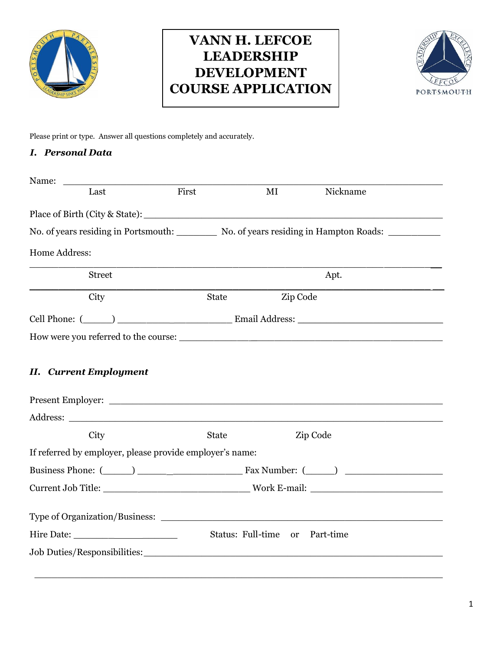

# **VANN H. LEFCOE LEADERSHIP DEVELOPMENT COURSE APPLICATION**



Please print or type. Answer all questions completely and accurately.

#### *I. Personal Data*

| Name:                                                                                                                                                                                                                          |              |                                |                                                                                                                |  |
|--------------------------------------------------------------------------------------------------------------------------------------------------------------------------------------------------------------------------------|--------------|--------------------------------|----------------------------------------------------------------------------------------------------------------|--|
| Last                                                                                                                                                                                                                           | First        | MI                             | Nickname                                                                                                       |  |
|                                                                                                                                                                                                                                |              |                                |                                                                                                                |  |
|                                                                                                                                                                                                                                |              |                                | No. of years residing in Portsmouth: No. of years residing in Hampton Roads: ________                          |  |
| Home Address:                                                                                                                                                                                                                  |              |                                |                                                                                                                |  |
| <b>Street</b>                                                                                                                                                                                                                  |              |                                | Apt.                                                                                                           |  |
| City                                                                                                                                                                                                                           | <b>State</b> | Zip Code                       |                                                                                                                |  |
|                                                                                                                                                                                                                                |              |                                | Cell Phone: (Comparison of Comparison Cell Phone: Comparison Cell Phone: Comparison Cell Phone: Comparison Cel |  |
|                                                                                                                                                                                                                                |              |                                |                                                                                                                |  |
| <b>II.</b> Current Employment                                                                                                                                                                                                  |              |                                |                                                                                                                |  |
|                                                                                                                                                                                                                                |              |                                |                                                                                                                |  |
| City                                                                                                                                                                                                                           | <b>State</b> |                                | Zip Code                                                                                                       |  |
| If referred by employer, please provide employer's name:                                                                                                                                                                       |              |                                |                                                                                                                |  |
|                                                                                                                                                                                                                                |              |                                |                                                                                                                |  |
|                                                                                                                                                                                                                                |              |                                |                                                                                                                |  |
| Type of Organization/Business:                                                                                                                                                                                                 |              |                                |                                                                                                                |  |
|                                                                                                                                                                                                                                |              | Status: Full-time or Part-time |                                                                                                                |  |
| Job Duties/Responsibilities: University of the University of the University of the University of the University of the University of the University of the University of the University of the University of the University of |              |                                |                                                                                                                |  |
|                                                                                                                                                                                                                                |              |                                |                                                                                                                |  |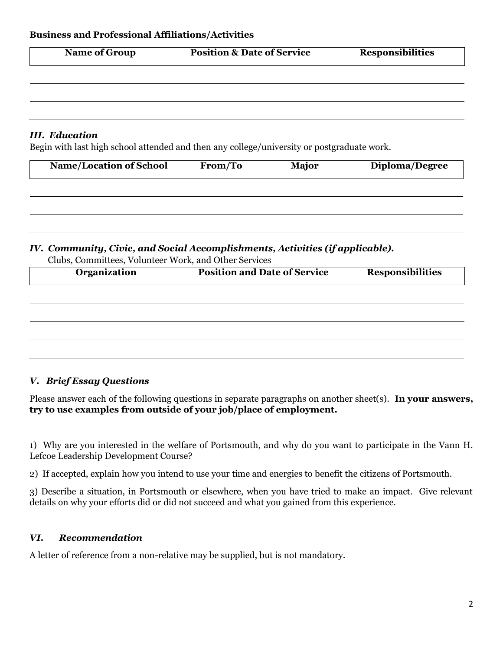| Name of Group | <b>Position &amp; Date of Service</b> | <b>Responsibilities</b> |
|---------------|---------------------------------------|-------------------------|
|               |                                       |                         |
|               |                                       |                         |
|               |                                       |                         |

### *III. Education*

Begin with last high school attended and then any college/university or postgraduate work.

| <b>Name/Location of School</b> | From/To | <b>Major</b> | Diploma/Degree |
|--------------------------------|---------|--------------|----------------|
|                                |         |              |                |
|                                |         |              |                |

## *IV. Community, Civic, and Social Accomplishments, Activities (if applicable).*

| Organization | <b>Position and Date of Service</b> | <b>Responsibilities</b> |
|--------------|-------------------------------------|-------------------------|
|              |                                     |                         |
|              |                                     |                         |
|              |                                     |                         |
|              |                                     |                         |
|              |                                     |                         |
|              |                                     |                         |

Clubs, Committees, Volunteer Work, and Other Services

### *V. Brief Essay Questions*

Please answer each of the following questions in separate paragraphs on another sheet(s). **In your answers, try to use examples from outside of your job/place of employment.**

1) Why are you interested in the welfare of Portsmouth, and why do you want to participate in the Vann H. Lefcoe Leadership Development Course?

2) If accepted, explain how you intend to use your time and energies to benefit the citizens of Portsmouth.

3) Describe a situation, in Portsmouth or elsewhere, when you have tried to make an impact. Give relevant details on why your efforts did or did not succeed and what you gained from this experience.

### *VI. Recommendation*

A letter of reference from a non-relative may be supplied, but is not mandatory.